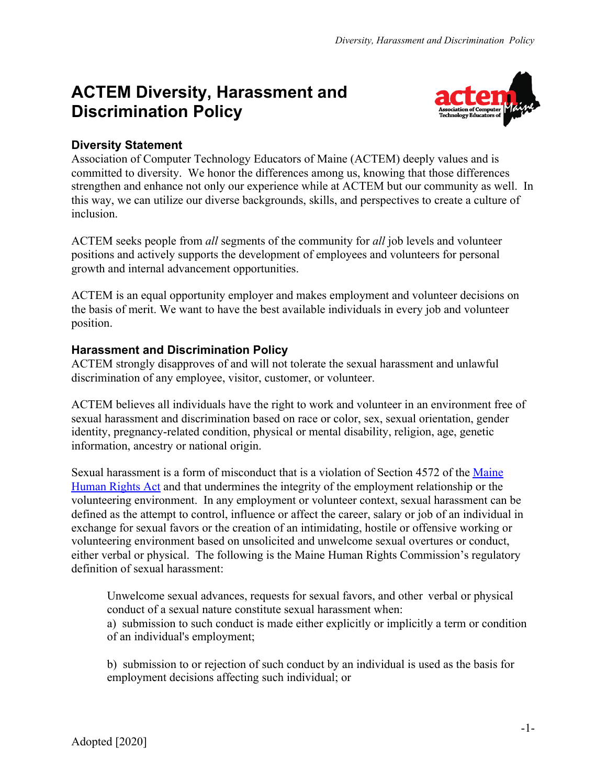## **ACTEM Diversity, Harassment and Discrimination Policy**



## **Diversity Statement**

Association of Computer Technology Educators of Maine (ACTEM) deeply values and is committed to diversity. We honor the differences among us, knowing that those differences strengthen and enhance not only our experience while at ACTEM but our community as well. In this way, we can utilize our diverse backgrounds, skills, and perspectives to create a culture of inclusion.

ACTEM seeks people from *all* segments of the community for *all* job levels and volunteer positions and actively supports the development of employees and volunteers for personal growth and internal advancement opportunities.

ACTEM is an equal opportunity employer and makes employment and volunteer decisions on the basis of merit. We want to have the best available individuals in every job and volunteer position.

## **Harassment and Discrimination Policy**

ACTEM strongly disapproves of and will not tolerate the sexual harassment and unlawful discrimination of any employee, visitor, customer, or volunteer.

ACTEM believes all individuals have the right to work and volunteer in an environment free of sexual harassment and discrimination based on race or color, sex, sexual orientation, gender identity, pregnancy-related condition, physical or mental disability, religion, age, genetic information, ancestry or national origin.

Sexual harassment is a form of misconduct that is a violation of Section 4572 of the [Maine](https://mainelegislature.org/legis/statutes/5/title5ch337sec0.html) [Human Rights Act](https://mainelegislature.org/legis/statutes/5/title5ch337sec0.html) and that undermines the integrity of the employment relationship or the volunteering environment. In any employment or volunteer context, sexual harassment can be defined as the attempt to control, influence or affect the career, salary or job of an individual in exchange for sexual favors or the creation of an intimidating, hostile or offensive working or volunteering environment based on unsolicited and unwelcome sexual overtures or conduct, either verbal or physical. The following is the Maine Human Rights Commission's regulatory definition of sexual harassment:

Unwelcome sexual advances, requests for sexual favors, and other verbal or physical conduct of a sexual nature constitute sexual harassment when: a) submission to such conduct is made either explicitly or implicitly a term or condition of an individual's employment;

b) submission to or rejection of such conduct by an individual is used as the basis for employment decisions affecting such individual; or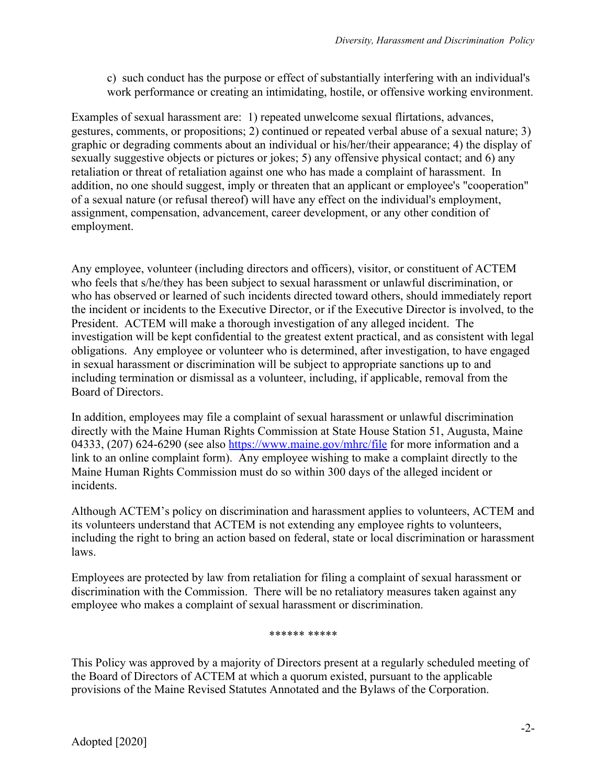c) such conduct has the purpose or effect of substantially interfering with an individual's work performance or creating an intimidating, hostile, or offensive working environment.

Examples of sexual harassment are: 1) repeated unwelcome sexual flirtations, advances, gestures, comments, or propositions; 2) continued or repeated verbal abuse of a sexual nature; 3) graphic or degrading comments about an individual or his/her/their appearance; 4) the display of sexually suggestive objects or pictures or jokes; 5) any offensive physical contact; and 6) any retaliation or threat of retaliation against one who has made a complaint of harassment. In addition, no one should suggest, imply or threaten that an applicant or employee's "cooperation" of a sexual nature (or refusal thereof) will have any effect on the individual's employment, assignment, compensation, advancement, career development, or any other condition of employment.

Any employee, volunteer (including directors and officers), visitor, or constituent of ACTEM who feels that s/he/they has been subject to sexual harassment or unlawful discrimination, or who has observed or learned of such incidents directed toward others, should immediately report the incident or incidents to the Executive Director, or if the Executive Director is involved, to the President. ACTEM will make a thorough investigation of any alleged incident. The investigation will be kept confidential to the greatest extent practical, and as consistent with legal obligations. Any employee or volunteer who is determined, after investigation, to have engaged in sexual harassment or discrimination will be subject to appropriate sanctions up to and including termination or dismissal as a volunteer, including, if applicable, removal from the Board of Directors.

In addition, employees may file a complaint of sexual harassment or unlawful discrimination directly with the Maine Human Rights Commission at State House Station 51, Augusta, Maine 04333, (207) 624-6290 (see also <https://www.maine.gov/mhrc/file>for more information and a link to an online complaint form). Any employee wishing to make a complaint directly to the Maine Human Rights Commission must do so within 300 days of the alleged incident or incidents.

Although ACTEM's policy on discrimination and harassment applies to volunteers, ACTEM and its volunteers understand that ACTEM is not extending any employee rights to volunteers, including the right to bring an action based on federal, state or local discrimination or harassment laws.

Employees are protected by law from retaliation for filing a complaint of sexual harassment or discrimination with the Commission. There will be no retaliatory measures taken against any employee who makes a complaint of sexual harassment or discrimination.

## \*\*\*\*\*\* \*\*\*\*\*

This Policy was approved by a majority of Directors present at a regularly scheduled meeting of the Board of Directors of ACTEM at which a quorum existed, pursuant to the applicable provisions of the Maine Revised Statutes Annotated and the Bylaws of the Corporation.